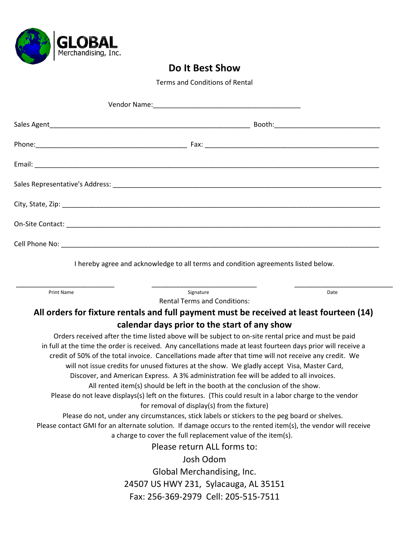

#### **Do It Best Show**

Terms and Conditions of Rental

| I hereby agree and acknowledge to all terms and condition agreements listed below.                                                                                                    |      |
|---------------------------------------------------------------------------------------------------------------------------------------------------------------------------------------|------|
| Signature<br><b>Print Name</b><br><b>Rental Terms and Conditions:</b>                                                                                                                 | Date |
| All orders for fixture rentals and full payment must be received at least fourteen (14)                                                                                               |      |
| calendar days prior to the start of any show                                                                                                                                          |      |
| Orders received after the time listed above will be subject to on-site rental price and must be paid                                                                                  |      |
| in full at the time the order is received. Any cancellations made at least fourteen days prior will receive a                                                                         |      |
| credit of 50% of the total invoice. Cancellations made after that time will not receive any credit. We                                                                                |      |
| will not issue credits for unused fixtures at the show. We gladly accept Visa, Master Card,<br>Discover, and American Express. A 3% administration fee will be added to all invoices. |      |
| All rented item(s) should be left in the booth at the conclusion of the show.                                                                                                         |      |
| Please do not leave displays(s) left on the fixtures. (This could result in a labor charge to the vendor                                                                              |      |
| for removal of display(s) from the fixture)                                                                                                                                           |      |
| Please do not, under any circumstances, stick labels or stickers to the peg board or shelves.                                                                                         |      |
| Please contact GMI for an alternate solution. If damage occurs to the rented item(s), the vendor will receive                                                                         |      |
| a charge to cover the full replacement value of the item(s).                                                                                                                          |      |
| Please return ALL forms to:                                                                                                                                                           |      |
| Josh Odom                                                                                                                                                                             |      |
| Global Merchandising, Inc.                                                                                                                                                            |      |
| 24507 US HWY 231, Sylacauga, AL 35151                                                                                                                                                 |      |
| Fax: 256-369-2979 Cell: 205-515-7511                                                                                                                                                  |      |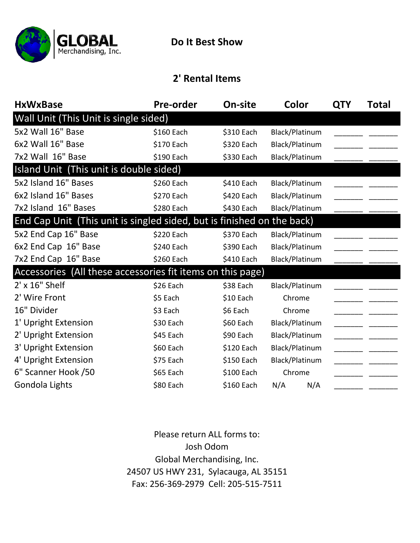

## **2' Rental Items**

| <b>HxWxBase</b>                                                        | <b>Pre-order</b><br>On-site |            | Color          | QTY | Total |  |  |  |
|------------------------------------------------------------------------|-----------------------------|------------|----------------|-----|-------|--|--|--|
| Wall Unit (This Unit is single sided)                                  |                             |            |                |     |       |  |  |  |
| 5x2 Wall 16" Base                                                      | \$160 Each<br>\$310 Each    |            | Black/Platinum |     |       |  |  |  |
| 6x2 Wall 16" Base                                                      | \$170 Each                  | \$320 Each | Black/Platinum |     |       |  |  |  |
| 7x2 Wall 16" Base                                                      | \$190 Each                  | \$330 Each | Black/Platinum |     |       |  |  |  |
| Island Unit (This unit is double sided)                                |                             |            |                |     |       |  |  |  |
| 5x2 Island 16" Bases                                                   | \$260 Each                  | \$410 Each | Black/Platinum |     |       |  |  |  |
| 6x2 Island 16" Bases                                                   | \$270 Each                  | \$420 Each | Black/Platinum |     |       |  |  |  |
| 7x2 Island 16" Bases                                                   | \$280 Each                  | \$430 Each | Black/Platinum |     |       |  |  |  |
| End Cap Unit (This unit is singled sided, but is finished on the back) |                             |            |                |     |       |  |  |  |
| 5x2 End Cap 16" Base                                                   | \$220 Each                  | \$370 Each | Black/Platinum |     |       |  |  |  |
| 6x2 End Cap 16" Base                                                   | \$240 Each                  | \$390 Each | Black/Platinum |     |       |  |  |  |
| 7x2 End Cap 16" Base                                                   | \$260 Each                  | \$410 Each | Black/Platinum |     |       |  |  |  |
| Accessories (All these accessories fit items on this page)             |                             |            |                |     |       |  |  |  |
| $2'$ x $16"$ Shelf                                                     | \$26 Each                   | \$38 Each  | Black/Platinum |     |       |  |  |  |
| 2' Wire Front                                                          | \$5 Each                    | \$10 Each  | Chrome         |     |       |  |  |  |
| 16" Divider                                                            | \$3 Each                    | \$6 Each   | Chrome         |     |       |  |  |  |
| 1' Upright Extension                                                   | \$30 Each                   | \$60 Each  | Black/Platinum |     |       |  |  |  |
| 2' Upright Extension                                                   | \$45 Each                   | \$90 Each  | Black/Platinum |     |       |  |  |  |
| 3' Upright Extension                                                   | \$60 Each                   | \$120 Each | Black/Platinum |     |       |  |  |  |
| 4' Upright Extension                                                   | \$75 Each                   | \$150 Each | Black/Platinum |     |       |  |  |  |
| 6" Scanner Hook /50                                                    | \$65 Each                   | \$100 Each | Chrome         |     |       |  |  |  |
| Gondola Lights                                                         | \$80 Each                   | \$160 Each | N/A<br>N/A     |     |       |  |  |  |

Fax: 256‐369‐2979 Cell: 205‐515‐7511 Please return ALL forms to: Josh Odom Global Merchandising, Inc. 24507 US HWY 231, Sylacauga, AL 35151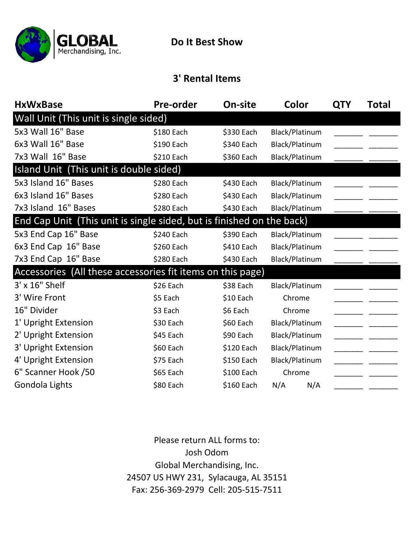

## **3' Rental Items**

| <b>HxWxBase</b>                                                       | On-site<br><b>Pre-order</b> |            | Color          | <b>QTY</b> | Total |
|-----------------------------------------------------------------------|-----------------------------|------------|----------------|------------|-------|
| Wall Unit (This unit is single sided)                                 |                             |            |                |            |       |
| 5x3 Wall 16" Base                                                     | \$180 Each<br>\$330 Each    |            | Black/Platinum |            |       |
| 6x3 Wall 16" Base                                                     | \$190 Each                  | \$340 Each | Black/Platinum |            |       |
| 7x3 Wall 16" Base                                                     | \$210 Each                  | \$360 Each | Black/Platinum |            |       |
| Island Unit (This unit is double sided)                               |                             |            |                |            |       |
| 5x3 Island 16" Bases                                                  | \$280 Each                  | \$430 Each | Black/Platinum |            |       |
| 6x3 Island 16" Bases                                                  | \$280 Each                  | \$430 Each | Black/Platinum |            |       |
| 7x3 Island 16" Bases                                                  | \$280 Each                  | \$430 Each | Black/Platinum |            |       |
| End Cap Unit (This unit is single sided, but is finished on the back) |                             |            |                |            |       |
| 5x3 End Cap 16" Base                                                  | \$240 Each                  | \$390 Each | Black/Platinum |            |       |
| 6x3 End Cap 16" Base                                                  | \$260 Each                  | \$410 Each | Black/Platinum |            |       |
| 7x3 End Cap 16" Base                                                  | \$280 Each                  | \$430 Each | Black/Platinum |            |       |
| Accessories (All these accessories fit items on this page)            |                             |            |                |            |       |
| 3' x 16" Shelf                                                        | \$26 Each                   | \$38 Each  | Black/Platinum |            |       |
| 3' Wire Front                                                         | \$5 Each                    | $$10$ Each | Chrome         |            |       |
| 16" Divider                                                           | \$3 Each                    | \$6 Each   | Chrome         |            |       |
| 1' Upright Extension                                                  | \$30 Each                   | \$60 Each  | Black/Platinum |            |       |
| 2' Upright Extension                                                  | \$45 Each                   | \$90 Each  | Black/Platinum |            |       |
| 3' Upright Extension                                                  | \$60 Each                   | \$120 Each | Black/Platinum |            |       |
| 4' Upright Extension                                                  | \$75 Each                   | \$150 Each | Black/Platinum |            |       |
| 6" Scanner Hook /50                                                   | \$65 Each                   | \$100 Each | Chrome         |            |       |
| Gondola Lights                                                        | \$80 Each                   | \$160 Each | N/A<br>N/A     |            |       |

Fax: 256‐369‐2979 Cell: 205‐515‐7511 Please return ALL forms to: Josh Odom Global Merchandising, Inc. 24507 US HWY 231, Sylacauga, AL 35151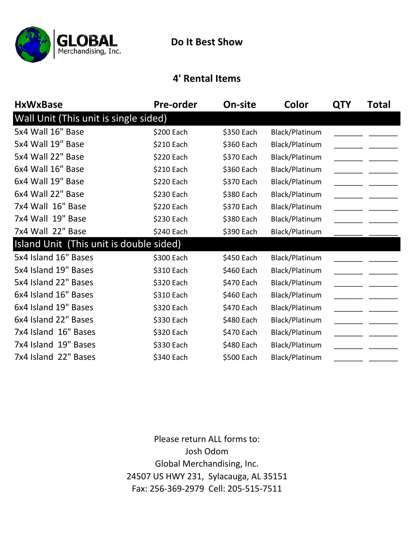

### **4' Rental Items**

| <b>HxWxBase</b>                         | <b>Pre-order</b> | On-site    | Color          | <b>QTY</b> | Total |
|-----------------------------------------|------------------|------------|----------------|------------|-------|
| Wall Unit (This unit is single sided)   |                  |            |                |            |       |
| 5x4 Wall 16" Base                       | \$200 Each       | \$350 Each | Black/Platinum |            |       |
| 5x4 Wall 19" Base                       | \$210 Each       | \$360 Each | Black/Platinum |            |       |
| 5x4 Wall 22" Base                       | \$220 Each       | \$370 Each | Black/Platinum |            |       |
| 6x4 Wall 16" Base                       | \$210 Each       | \$360 Each | Black/Platinum |            |       |
| 6x4 Wall 19" Base                       | \$220 Each       | \$370 Each | Black/Platinum |            |       |
| 6x4 Wall 22" Base                       | \$230 Each       | \$380 Each | Black/Platinum |            |       |
| 7x4 Wall 16" Base                       | \$220 Each       | \$370 Each | Black/Platinum |            |       |
| 7x4 Wall 19" Base                       | \$230 Each       | \$380 Each | Black/Platinum |            |       |
| 7x4 Wall 22" Base                       | \$240 Each       | \$390 Each | Black/Platinum |            |       |
| Island Unit (This unit is double sided) |                  |            |                |            |       |
| 5x4 Island 16" Bases                    | \$300 Each       | \$450 Each | Black/Platinum |            |       |
| 5x4 Island 19" Bases                    | \$310 Each       | \$460 Each | Black/Platinum |            |       |
| 5x4 Island 22" Bases                    | \$320 Each       | \$470 Each | Black/Platinum |            |       |
| 6x4 Island 16" Bases                    | \$310 Each       | \$460 Each | Black/Platinum |            |       |
| 6x4 Island 19" Bases                    | \$320 Each       | \$470 Each | Black/Platinum |            |       |
| 6x4 Island 22" Bases                    | \$330 Each       | \$480 Each | Black/Platinum |            |       |
| 7x4 Island 16" Bases                    | \$320 Each       | \$470 Each | Black/Platinum |            |       |
| 7x4 Island 19" Bases                    | \$330 Each       | \$480 Each | Black/Platinum |            |       |
| 7x4 Island 22" Bases                    | \$340 Each       | \$500 Each | Black/Platinum |            |       |

Fax: 256‐369‐2979 Cell: 205‐515‐7511 24507 US HWY 231, Sylacauga, AL 35151 Global Merchandising, Inc. Josh Odom Please return ALL forms to: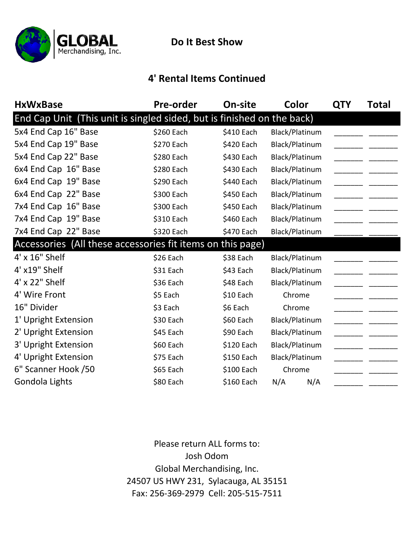

**Do It Best Show**

## **4' Rental Items Continued**

| <b>HxWxBase</b>                                                        | <b>Pre-order</b> | On-site    | Color          | <b>QTY</b> | Total |
|------------------------------------------------------------------------|------------------|------------|----------------|------------|-------|
| End Cap Unit (This unit is singled sided, but is finished on the back) |                  |            |                |            |       |
| 5x4 End Cap 16" Base                                                   | \$260 Each       | \$410 Each | Black/Platinum |            |       |
| 5x4 End Cap 19" Base                                                   | \$270 Each       | \$420 Each | Black/Platinum |            |       |
| 5x4 End Cap 22" Base                                                   | \$280 Each       | \$430 Each | Black/Platinum |            |       |
| 6x4 End Cap 16" Base                                                   | \$280 Each       | \$430 Each | Black/Platinum |            |       |
| 6x4 End Cap 19" Base                                                   | \$290 Each       | \$440 Each | Black/Platinum |            |       |
| 6x4 End Cap 22" Base                                                   | \$300 Each       | \$450 Each | Black/Platinum |            |       |
| 7x4 End Cap 16" Base                                                   | \$300 Each       | \$450 Each | Black/Platinum |            |       |
| 7x4 End Cap 19" Base                                                   | \$310 Each       | \$460 Each | Black/Platinum |            |       |
| 7x4 End Cap 22" Base                                                   | \$320 Each       | \$470 Each | Black/Platinum |            |       |
| Accessories (All these accessories fit items on this page)             |                  |            |                |            |       |
| 4' x 16" Shelf                                                         | \$26 Each        | \$38 Each  | Black/Platinum |            |       |
| 4' x19" Shelf                                                          | \$31 Each        | \$43 Each  | Black/Platinum |            |       |
| 4' x 22" Shelf                                                         | \$36 Each        | \$48 Each  | Black/Platinum |            |       |
| 4' Wire Front                                                          | \$5 Each         | \$10 Each  | Chrome         |            |       |
| 16" Divider                                                            | \$3 Each         | \$6 Each   | Chrome         |            |       |
| 1' Upright Extension                                                   | \$30 Each        | \$60 Each  | Black/Platinum |            |       |
| 2' Upright Extension                                                   | \$45 Each        | \$90 Each  | Black/Platinum |            |       |
| 3' Upright Extension                                                   | \$60 Each        | \$120 Each | Black/Platinum |            |       |
| 4' Upright Extension                                                   | \$75 Each        | \$150 Each | Black/Platinum |            |       |
| 6" Scanner Hook /50                                                    | \$65 Each        | \$100 Each | Chrome         |            |       |
| Gondola Lights                                                         | \$80 Each        | \$160 Each | N/A<br>N/A     |            |       |

Fax: 256‐369‐2979 Cell: 205‐515‐7511 Please return ALL forms to: Josh Odom Global Merchandising, Inc. 24507 US HWY 231, Sylacauga, AL 35151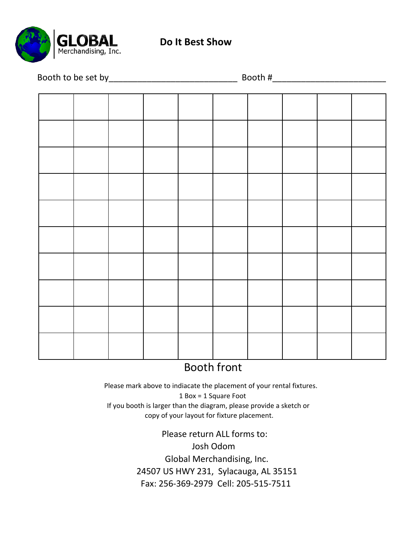

**Do It Best Show**

|  |  |  | Booth #_ |  |  |  |  |
|--|--|--|----------|--|--|--|--|
|  |  |  |          |  |  |  |  |
|  |  |  |          |  |  |  |  |
|  |  |  |          |  |  |  |  |
|  |  |  |          |  |  |  |  |
|  |  |  |          |  |  |  |  |
|  |  |  |          |  |  |  |  |
|  |  |  |          |  |  |  |  |
|  |  |  |          |  |  |  |  |
|  |  |  |          |  |  |  |  |
|  |  |  |          |  |  |  |  |
|  |  |  |          |  |  |  |  |
|  |  |  |          |  |  |  |  |
|  |  |  |          |  |  |  |  |
|  |  |  |          |  |  |  |  |
|  |  |  |          |  |  |  |  |
|  |  |  |          |  |  |  |  |
|  |  |  |          |  |  |  |  |
|  |  |  |          |  |  |  |  |
|  |  |  |          |  |  |  |  |
|  |  |  |          |  |  |  |  |
|  |  |  |          |  |  |  |  |
|  |  |  |          |  |  |  |  |
|  |  |  |          |  |  |  |  |
|  |  |  |          |  |  |  |  |
|  |  |  |          |  |  |  |  |

# Booth front

 1 Box = 1 Square Foot If you booth is larger than the diagram, please provide a sketch or copy of your layout for fixture placement. Please mark above to indiacate the placement of your rental fixtures.

> Fax: 256‐369‐2979 Cell: 205‐515‐7511 24507 US HWY 231, Sylacauga, AL 35151 Global Merchandising, Inc. Josh Odom Please return ALL forms to: